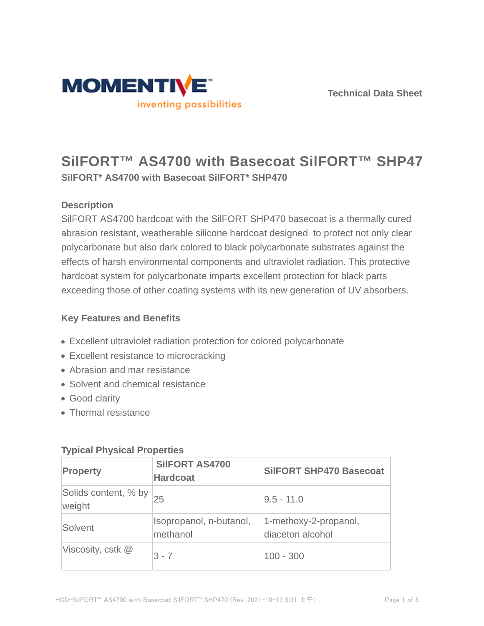



# **SilFORT™ AS4700 with Basecoat SilFORT™ SHP470 SilFORT\* AS4700 with Basecoat SilFORT\* SHP470**

### **Description**

SilFORT AS4700 hardcoat with the SilFORT SHP470 basecoat is a thermally cured abrasion resistant, weatherable silicone hardcoat designed to protect not only clear polycarbonate but also dark colored to black polycarbonate substrates against the effects of harsh environmental components and ultraviolet radiation. This protective hardcoat system for polycarbonate imparts excellent protection for black parts exceeding those of other coating systems with its new generation of UV absorbers.

### **Key Features and Benefits**

- Excellent ultraviolet radiation protection for colored polycarbonate
- Excellent resistance to microcracking
- Abrasion and mar resistance
- Solvent and chemical resistance
- Good clarity
- Thermal resistance

| <b>Property</b>                | <b>SIIFORT AS4700</b><br><b>Hardcoat</b> | <b>SilFORT SHP470 Basecoat</b>            |  |
|--------------------------------|------------------------------------------|-------------------------------------------|--|
| Solids content, % by<br>weight | 25                                       | $9.5 - 11.0$                              |  |
| Solvent                        | Isopropanol, n-butanol,<br>methanol      | 1-methoxy-2-propanol,<br>diaceton alcohol |  |
| Viscosity, cstk $@$            | $3 - 7$                                  | $100 - 300$                               |  |

#### **Typical Physical Properties**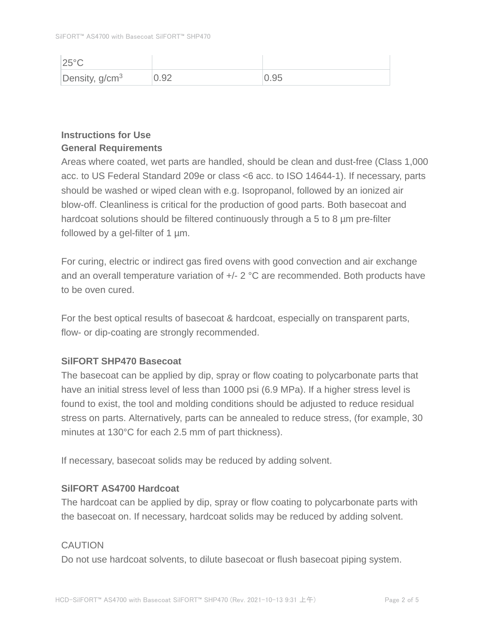| $25^{\circ}$ C   |      |      |
|------------------|------|------|
| Density, $g/cm3$ | 0.92 | 0.95 |

### **Instructions for Use General Requirements**

Areas where coated, wet parts are handled, should be clean and dust-free (Class 1,000 acc. to US Federal Standard 209e or class <6 acc. to ISO 14644-1). If necessary, parts should be washed or wiped clean with e.g. Isopropanol, followed by an ionized air blow-off. Cleanliness is critical for the production of good parts. Both basecoat and hardcoat solutions should be filtered continuously through a 5 to 8 µm pre-filter followed by a gel-filter of 1 µm.

For curing, electric or indirect gas fired ovens with good convection and air exchange and an overall temperature variation of +/- 2 °C are recommended. Both products have to be oven cured.

For the best optical results of basecoat & hardcoat, especially on transparent parts, flow- or dip-coating are strongly recommended.

### **SilFORT SHP470 Basecoat**

The basecoat can be applied by dip, spray or flow coating to polycarbonate parts that have an initial stress level of less than 1000 psi (6.9 MPa). If a higher stress level is found to exist, the tool and molding conditions should be adjusted to reduce residual stress on parts. Alternatively, parts can be annealed to reduce stress, (for example, 30 minutes at 130°C for each 2.5 mm of part thickness).

If necessary, basecoat solids may be reduced by adding solvent.

### **SilFORT AS4700 Hardcoat**

The hardcoat can be applied by dip, spray or flow coating to polycarbonate parts with the basecoat on. If necessary, hardcoat solids may be reduced by adding solvent.

### **CAUTION**

Do not use hardcoat solvents, to dilute basecoat or flush basecoat piping system.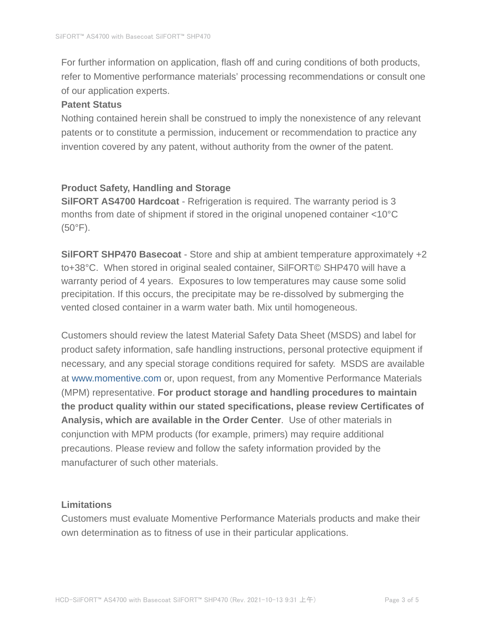For further information on application, flash off and curing conditions of both products, refer to Momentive performance materials' processing recommendations or consult one of our application experts.

#### **Patent Status**

Nothing contained herein shall be construed to imply the nonexistence of any relevant patents or to constitute a permission, inducement or recommendation to practice any invention covered by any patent, without authority from the owner of the patent.

#### **Product Safety, Handling and Storage**

**SilFORT AS4700 Hardcoat** - Refrigeration is required. The warranty period is 3 months from date of shipment if stored in the original unopened container <10°C (50°F).

**SilFORT SHP470 Basecoat** - Store and ship at ambient temperature approximately +2 to+38°C. When stored in original sealed container, SilFORT© SHP470 will have a warranty period of 4 years. Exposures to low temperatures may cause some solid precipitation. If this occurs, the precipitate may be re-dissolved by submerging the vented closed container in a warm water bath. Mix until homogeneous.

Customers should review the latest Material Safety Data Sheet (MSDS) and label for product safety information, safe handling instructions, personal protective equipment if necessary, and any special storage conditions required for safety. MSDS are available at www.momentive.com or, upon request, from any Momentive Performance Materials (MPM) representative. **For product storage and handling procedures to maintain the product quality within our stated specifications, please review Certificates of Analysis, which are available in the Order Center**. Use of other materials in conjunction with MPM products (for example, primers) may require additional precautions. Please review and follow the safety information provided by the manufacturer of such other materials.

#### **Limitations**

Customers must evaluate Momentive Performance Materials products and make their own determination as to fitness of use in their particular applications.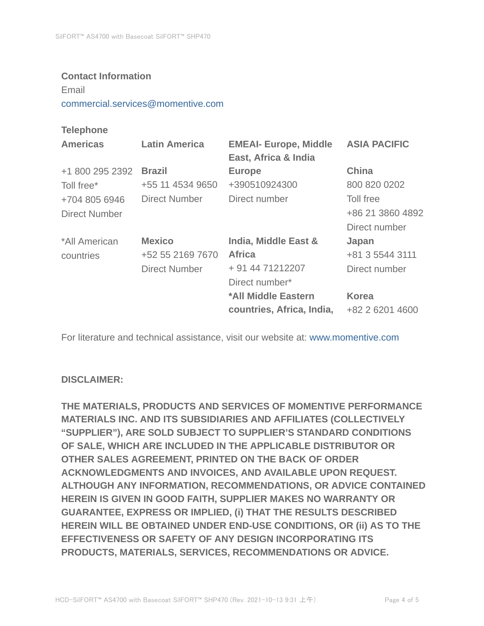#### **Contact Information**

Email

commercial.services@momentive.com

#### **Telephone**

| <b>Americas</b> | <b>Latin America</b> | <b>EMEAI- Europe, Middle</b><br>East, Africa & India | <b>ASIA PACIFIC</b> |
|-----------------|----------------------|------------------------------------------------------|---------------------|
| +1 800 295 2392 | <b>Brazil</b>        | <b>Europe</b>                                        | <b>China</b>        |
| Toll free*      | +55 11 4534 9650     | +390510924300                                        | 800 820 0202        |
| +704 805 6946   | Direct Number        | Direct number                                        | Toll free           |
| Direct Number   |                      |                                                      | +86 21 3860 4892    |
|                 |                      |                                                      | Direct number       |
| *All American   | <b>Mexico</b>        | India, Middle East &                                 | Japan               |
| countries       | +52 55 2169 7670     | <b>Africa</b>                                        | +81 3 5544 3111     |
|                 | <b>Direct Number</b> | + 91 44 71212207                                     | Direct number       |
|                 |                      | Direct number*                                       |                     |
|                 |                      | *All Middle Eastern                                  | <b>Korea</b>        |
|                 |                      | countries, Africa, India,                            | +82 2 6201 4600     |

For literature and technical assistance, visit our website at: www.momentive.com

#### **DISCLAIMER:**

**THE MATERIALS, PRODUCTS AND SERVICES OF MOMENTIVE PERFORMANCE MATERIALS INC. AND ITS SUBSIDIARIES AND AFFILIATES (COLLECTIVELY "SUPPLIER"), ARE SOLD SUBJECT TO SUPPLIER'S STANDARD CONDITIONS OF SALE, WHICH ARE INCLUDED IN THE APPLICABLE DISTRIBUTOR OR OTHER SALES AGREEMENT, PRINTED ON THE BACK OF ORDER ACKNOWLEDGMENTS AND INVOICES, AND AVAILABLE UPON REQUEST. ALTHOUGH ANY INFORMATION, RECOMMENDATIONS, OR ADVICE CONTAINED HEREIN IS GIVEN IN GOOD FAITH, SUPPLIER MAKES NO WARRANTY OR GUARANTEE, EXPRESS OR IMPLIED, (i) THAT THE RESULTS DESCRIBED HEREIN WILL BE OBTAINED UNDER END-USE CONDITIONS, OR (ii) AS TO THE EFFECTIVENESS OR SAFETY OF ANY DESIGN INCORPORATING ITS PRODUCTS, MATERIALS, SERVICES, RECOMMENDATIONS OR ADVICE.**